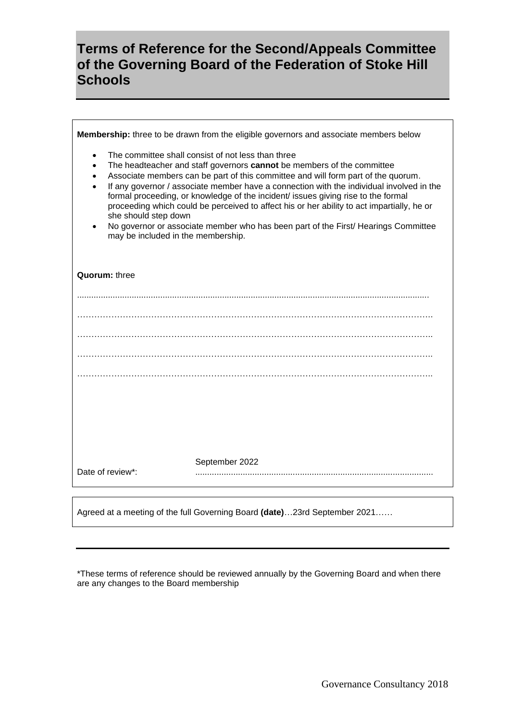## **Terms of Reference for the Second/Appeals Committee of the Governing Board of the Federation of Stoke Hill Schools**

| Membership: three to be drawn from the eligible governors and associate members below                                                                                                                                                                                                                                                                                                                                                                                                                                                                                                                                                                                  |
|------------------------------------------------------------------------------------------------------------------------------------------------------------------------------------------------------------------------------------------------------------------------------------------------------------------------------------------------------------------------------------------------------------------------------------------------------------------------------------------------------------------------------------------------------------------------------------------------------------------------------------------------------------------------|
| The committee shall consist of not less than three<br>٠<br>The headteacher and staff governors cannot be members of the committee<br>$\bullet$<br>Associate members can be part of this committee and will form part of the quorum.<br>If any governor / associate member have a connection with the individual involved in the<br>formal proceeding, or knowledge of the incident/ issues giving rise to the formal<br>proceeding which could be perceived to affect his or her ability to act impartially, he or<br>she should step down<br>No governor or associate member who has been part of the First/ Hearings Committee<br>may be included in the membership. |
| Quorum: three                                                                                                                                                                                                                                                                                                                                                                                                                                                                                                                                                                                                                                                          |
|                                                                                                                                                                                                                                                                                                                                                                                                                                                                                                                                                                                                                                                                        |
|                                                                                                                                                                                                                                                                                                                                                                                                                                                                                                                                                                                                                                                                        |
|                                                                                                                                                                                                                                                                                                                                                                                                                                                                                                                                                                                                                                                                        |
|                                                                                                                                                                                                                                                                                                                                                                                                                                                                                                                                                                                                                                                                        |
|                                                                                                                                                                                                                                                                                                                                                                                                                                                                                                                                                                                                                                                                        |
|                                                                                                                                                                                                                                                                                                                                                                                                                                                                                                                                                                                                                                                                        |
|                                                                                                                                                                                                                                                                                                                                                                                                                                                                                                                                                                                                                                                                        |
|                                                                                                                                                                                                                                                                                                                                                                                                                                                                                                                                                                                                                                                                        |
| September 2022<br>Date of review*:                                                                                                                                                                                                                                                                                                                                                                                                                                                                                                                                                                                                                                     |

Agreed at a meeting of the full Governing Board **(date)**…23rd September 2021……

\*These terms of reference should be reviewed annually by the Governing Board and when there are any changes to the Board membership